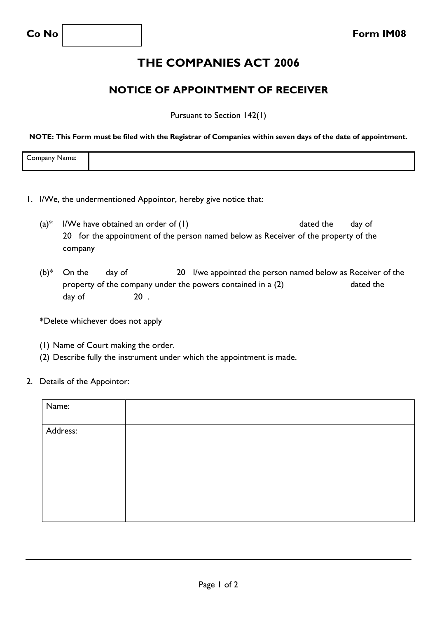## **THE COMPANIES ACT 2006**

## **NOTICE OF APPOINTMENT OF RECEIVER**

Pursuant to Section 142(1)

**NOTE: This Form must be filed with the Registrar of Companies within seven days of the date of appointment.**

| $\overline{\phantom{a}}$<br>$    -$<br>omr<br>$\sum_{n=1}^{n}$<br>vame.<br>ndan |  |
|---------------------------------------------------------------------------------|--|
|                                                                                 |  |

- 1. I/We, the undermentioned Appointor, hereby give notice that:
	- $(a)^*$  I/We have obtained an order of (1) dated the day of 20 for the appointment of the person named below as Receiver of the property of the company
	- $(b)^*$  On the day of 20 I/we appointed the person named below as Receiver of the property of the company under the powers contained in a (2) dated the day of 20.

**\***Delete whichever does not apply

- (1) Name of Court making the order.
- (2) Describe fully the instrument under which the appointment is made.
- 2. Details of the Appointor:

| Name:    |  |
|----------|--|
|          |  |
| Address: |  |
|          |  |
|          |  |
|          |  |
|          |  |
|          |  |
|          |  |
|          |  |
|          |  |
|          |  |
|          |  |
|          |  |